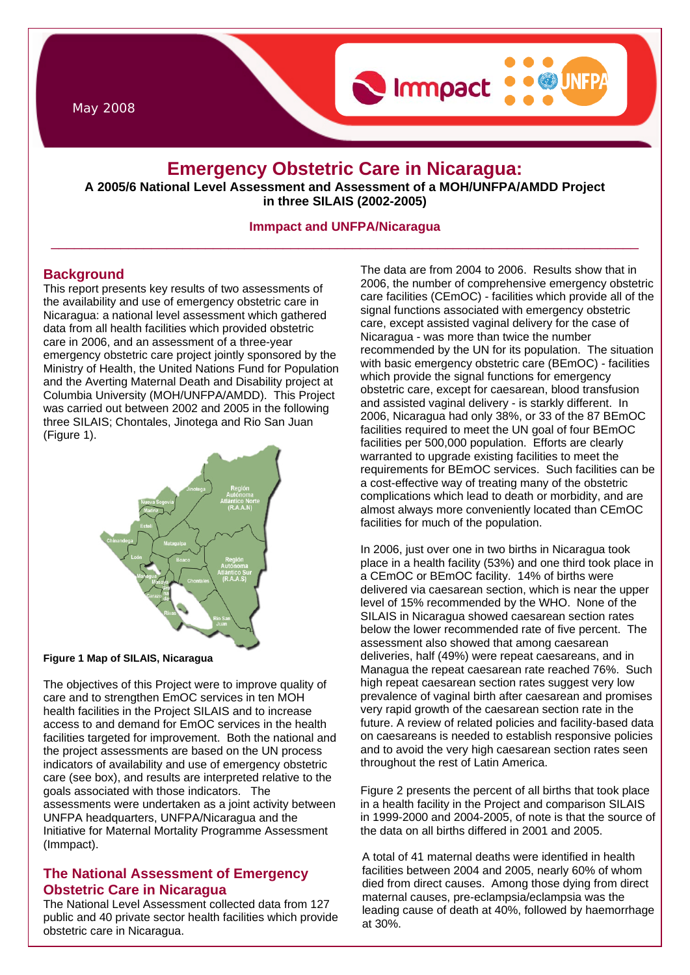May 2008

# **Emergency Obstetric Care in Nicaragua:**

Immpact

**A 2005/6 National Level Assessment and Assessment of a MOH/UNFPA/AMDD Project in three SILAIS (2002-2005)** 

### **Immpact and UNFPA/Nicaragua**  \_\_\_\_\_\_\_\_\_\_\_\_\_\_\_\_\_\_\_\_\_\_\_\_\_\_\_\_\_\_\_\_\_\_\_\_\_\_\_\_\_\_\_\_\_\_\_\_\_\_\_\_\_\_\_\_\_\_\_\_\_\_\_\_\_\_\_\_\_\_\_\_\_\_\_\_

### **Background**

This report presents key results of two assessments of the availability and use of emergency obstetric care in Nicaragua: a national level assessment which gathered data from all health facilities which provided obstetric care in 2006, and an assessment of a three-year emergency obstetric care project jointly sponsored by the Ministry of Health, the United Nations Fund for Population and the Averting Maternal Death and Disability project at Columbia University (MOH/UNFPA/AMDD). This Project was carried out between 2002 and 2005 in the following three SILAIS; Chontales, Jinotega and Rio San Juan (Figure 1).



#### **Figure 1 Map of SILAIS, Nicaragua**

The objectives of this Project were to improve quality of care and to strengthen EmOC services in ten MOH health facilities in the Project SILAIS and to increase access to and demand for EmOC services in the health facilities targeted for improvement. Both the national and the project assessments are based on the UN process indicators of availability and use of emergency obstetric care (see box), and results are interpreted relative to the goals associated with those indicators. The assessments were undertaken as a joint activity between UNFPA headquarters, UNFPA/Nicaragua and the Initiative for Maternal Mortality Programme Assessment (Immpact).

## **The National Assessment of Emergency Obstetric Care in Nicaragua**

The National Level Assessment collected data from 127 public and 40 private sector health facilities which provide obstetric care in Nicaragua.

The data are from 2004 to 2006. Results show that in 2006, the number of comprehensive emergency obstetric care facilities (CEmOC) - facilities which provide all of the signal functions associated with emergency obstetric care, except assisted vaginal delivery for the case of Nicaragua - was more than twice the number recommended by the UN for its population. The situation with basic emergency obstetric care (BEmOC) - facilities which provide the signal functions for emergency obstetric care, except for caesarean, blood transfusion and assisted vaginal delivery - is starkly different. In 2006, Nicaragua had only 38%, or 33 of the 87 BEmOC facilities required to meet the UN goal of four BEmOC facilities per 500,000 population. Efforts are clearly warranted to upgrade existing facilities to meet the requirements for BEmOC services. Such facilities can be a cost-effective way of treating many of the obstetric complications which lead to death or morbidity, and are almost always more conveniently located than CEmOC facilities for much of the population.

In 2006, just over one in two births in Nicaragua took place in a health facility (53%) and one third took place in a CEmOC or BEmOC facility. 14% of births were delivered via caesarean section, which is near the upper level of 15% recommended by the WHO. None of the SILAIS in Nicaragua showed caesarean section rates below the lower recommended rate of five percent. The assessment also showed that among caesarean deliveries, half (49%) were repeat caesareans, and in Managua the repeat caesarean rate reached 76%. Such high repeat caesarean section rates suggest very low prevalence of vaginal birth after caesarean and promises very rapid growth of the caesarean section rate in the future. A review of related policies and facility-based data on caesareans is needed to establish responsive policies and to avoid the very high caesarean section rates seen throughout the rest of Latin America.

Figure 2 presents the percent of all births that took place in a health facility in the Project and comparison SILAIS in 1999-2000 and 2004-2005, of note is that the source of the data on all births differed in 2001 and 2005.

A total of 41 maternal deaths were identified in health facilities between 2004 and 2005, nearly 60% of whom died from direct causes. Among those dying from direct maternal causes, pre-eclampsia/eclampsia was the leading cause of death at 40%, followed by haemorrhage at 30%.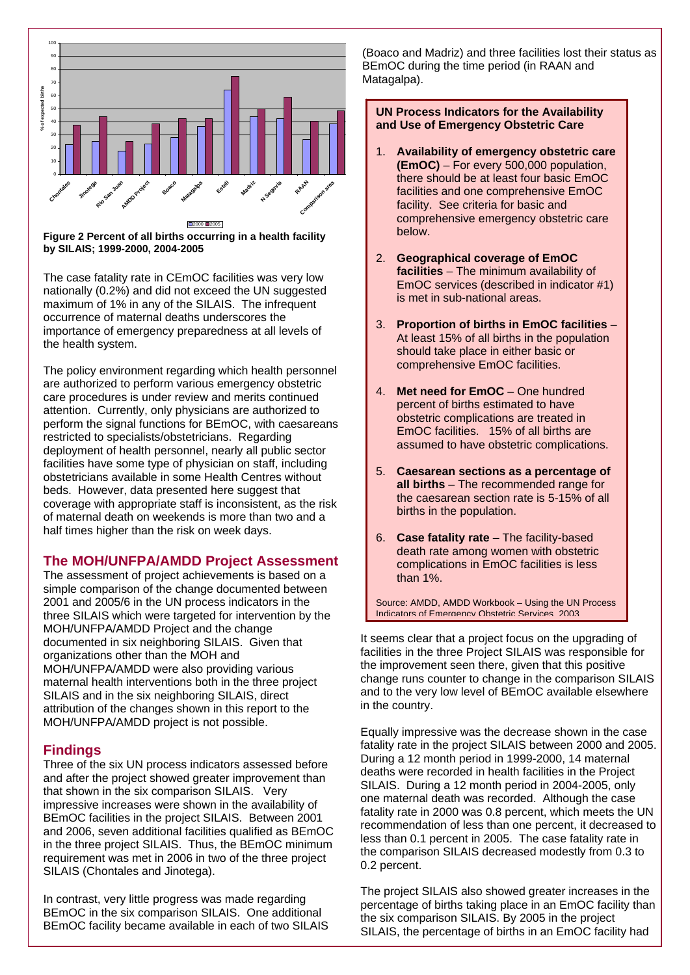

**Figure 2 Percent of all births occurring in a health facility by SILAIS; 1999-2000, 2004-2005** 

The case fatality rate in CEmOC facilities was very low nationally (0.2%) and did not exceed the UN suggested maximum of 1% in any of the SILAIS. The infrequent occurrence of maternal deaths underscores the importance of emergency preparedness at all levels of the health system.

The policy environment regarding which health personnel are authorized to perform various emergency obstetric care procedures is under review and merits continued attention. Currently, only physicians are authorized to perform the signal functions for BEmOC, with caesareans restricted to specialists/obstetricians. Regarding deployment of health personnel, nearly all public sector facilities have some type of physician on staff, including obstetricians available in some Health Centres without beds. However, data presented here suggest that coverage with appropriate staff is inconsistent, as the risk of maternal death on weekends is more than two and a half times higher than the risk on week days.

### **The MOH/UNFPA/AMDD Project Assessment**

The assessment of project achievements is based on a simple comparison of the change documented between 2001 and 2005/6 in the UN process indicators in the three SILAIS which were targeted for intervention by the MOH/UNFPA/AMDD Project and the change documented in six neighboring SILAIS. Given that organizations other than the MOH and MOH/UNFPA/AMDD were also providing various maternal health interventions both in the three project SILAIS and in the six neighboring SILAIS, direct attribution of the changes shown in this report to the MOH/UNFPA/AMDD project is not possible.

### **Findings**

Three of the six UN process indicators assessed before and after the project showed greater improvement than that shown in the six comparison SILAIS. Very impressive increases were shown in the availability of BEmOC facilities in the project SILAIS. Between 2001 and 2006, seven additional facilities qualified as BEmOC in the three project SILAIS. Thus, the BEmOC minimum requirement was met in 2006 in two of the three project SILAIS (Chontales and Jinotega).

In contrast, very little progress was made regarding BEmOC in the six comparison SILAIS. One additional BEmOC facility became available in each of two SILAIS (Boaco and Madriz) and three facilities lost their status as BEmOC during the time period (in RAAN and Matagalpa).

#### **UN Process Indicators for the Availability and Use of Emergency Obstetric Care**

- 1. **Availability of emergency obstetric care (EmOC)** – For every 500,000 population, there should be at least four basic EmOC facilities and one comprehensive EmOC facility. See criteria for basic and comprehensive emergency obstetric care below.
- 2. **Geographical coverage of EmOC facilities** – The minimum availability of EmOC services (described in indicator #1) is met in sub-national areas.
- 3. **Proportion of births in EmOC facilities** At least 15% of all births in the population should take place in either basic or comprehensive EmOC facilities.
- 4. **Met need for EmOC**  One hundred percent of births estimated to have obstetric complications are treated in EmOC facilities. 15% of all births are assumed to have obstetric complications.
- 5. **Caesarean sections as a percentage of all births** – The recommended range for the caesarean section rate is 5-15% of all births in the population.
- 6. **Case fatality rate** The facility-based death rate among women with obstetric complications in EmOC facilities is less than 1%.

Source: AMDD, AMDD Workbook – Using the UN Process Indicators of Emergency Obstetric Services 2003

It seems clear that a project focus on the upgrading of facilities in the three Project SILAIS was responsible for the improvement seen there, given that this positive change runs counter to change in the comparison SILAIS and to the very low level of BEmOC available elsewhere in the country.

Equally impressive was the decrease shown in the case fatality rate in the project SILAIS between 2000 and 2005. During a 12 month period in 1999-2000, 14 maternal deaths were recorded in health facilities in the Project SILAIS. During a 12 month period in 2004-2005, only one maternal death was recorded. Although the case fatality rate in 2000 was 0.8 percent, which meets the UN recommendation of less than one percent, it decreased to less than 0.1 percent in 2005. The case fatality rate in the comparison SILAIS decreased modestly from 0.3 to 0.2 percent.

The project SILAIS also showed greater increases in the percentage of births taking place in an EmOC facility than the six comparison SILAIS. By 2005 in the project SILAIS, the percentage of births in an EmOC facility had